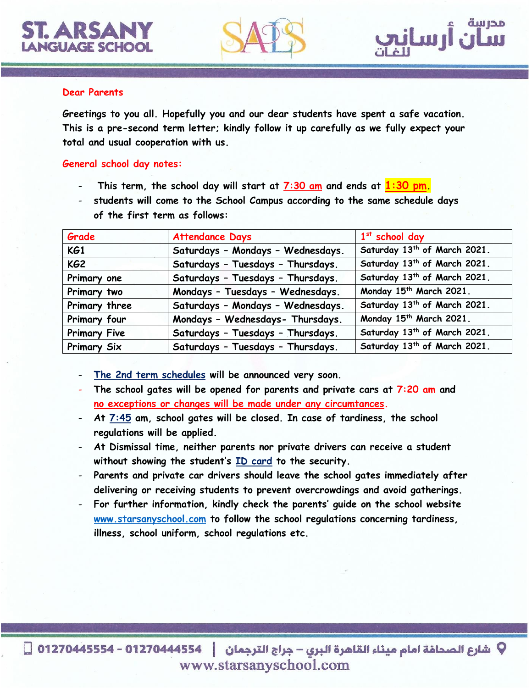



## **Dear Parents**

**Greetings to you all. Hopefully you and our dear students have spent a safe vacation. This is a pre-second term letter; kindly follow it up carefully as we fully expect your total and usual cooperation with us.**

## **General school day notes:**

- **This term, the school day will start at 7:30 am and ends at 1:30 pm.**
- **students will come to the School Campus according to the same schedule days of the first term as follows:**

| Grade               | <b>Attendance Days</b>            | $1st$ school day                         |
|---------------------|-----------------------------------|------------------------------------------|
| KG1                 | Saturdays - Mondays - Wednesdays. | Saturday 13 <sup>th</sup> of March 2021. |
| KG <sub>2</sub>     | Saturdays - Tuesdays - Thursdays. | Saturday 13 <sup>th</sup> of March 2021. |
| Primary one         | Saturdays - Tuesdays - Thursdays. | Saturday 13th of March 2021.             |
| Primary two         | Mondays - Tuesdays - Wednesdays.  | Monday 15th March 2021.                  |
| Primary three       | Saturdays - Mondays - Wednesdays. | Saturday 13 <sup>th</sup> of March 2021. |
| Primary four        | Mondays - Wednesdays- Thursdays.  | Monday 15 <sup>th</sup> March 2021.      |
| <b>Primary Five</b> | Saturdays - Tuesdays - Thursdays. | Saturday 13 <sup>th</sup> of March 2021. |
| Primary Six         | Saturdays - Tuesdays - Thursdays. | Saturday 13th of March 2021.             |

- **The 2nd term schedules will be announced very soon.**
- **The school gates will be opened for parents and private cars at 7:20 am and no exceptions or changes will be made under any circumtances.**
- **At 7:45 am, school gates will be closed. In case of tardiness, the school regulations will be applied.**
- **At Dismissal time, neither parents nor private drivers can receive a student without showing the student's ID card to the security.**
- Parents and private car drivers should leave the school gates immediately after **delivering or receiving students to prevent overcrowdings and avoid gatherings.**
- **For further information, kindly check the parents' guide on the school website [www.starsanyschool.com](http://www.starsanyschool.com/) to follow the school regulations concerning tardiness, illness, school uniform, school regulations etc.**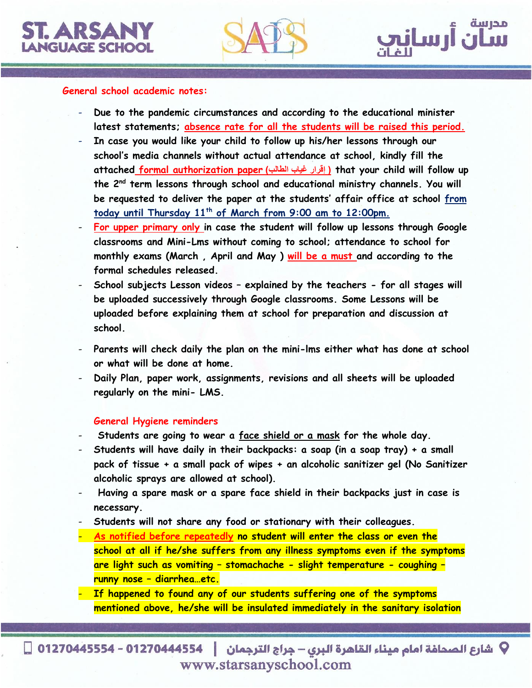



## **General school academic notes:**

- **Due to the pandemic circumstances and according to the educational minister latest statements; absence rate for all the students will be raised this period.**
- **In case you would like your child to follow up his/her lessons through our school's media channels without actual attendance at school, kindly fill the attached formal authorization paper )الطالب غياب إقرار ) that your child will follow up the 2nd term lessons through school and educational ministry channels. You will be requested to deliver the paper at the students' affair office at school from today until Thursday 11th of March from 9:00 am to 12:00pm.**
- **For upper primary only in case the student will follow up lessons through Google classrooms and Mini-Lms without coming to school; attendance to school for monthly exams (March , April and May ) will be a must and according to the formal schedules released.**
- **School subjects Lesson videos – explained by the teachers - for all stages will be uploaded successively through Google classrooms. Some Lessons will be uploaded before explaining them at school for preparation and discussion at school.**
- **Parents will check daily the plan on the mini-lms either what has done at school or what will be done at home.**
- **Daily Plan, paper work, assignments, revisions and all sheets will be uploaded regularly on the mini- LMS.**

#### **General Hygiene reminders**

- **Students are going to wear a face shield or a mask for the whole day.**
- **Students will have daily in their backpacks: a soap (in a soap tray) + a small pack of tissue + a small pack of wipes + an alcoholic sanitizer gel (No Sanitizer alcoholic sprays are allowed at school).**
- **Having a spare mask or a spare face shield in their backpacks just in case is necessary.**
- **Students will not share any food or stationary with their colleagues.**
- **As notified before repeatedly no student will enter the class or even the school at all if he/she suffers from any illness symptoms even if the symptoms are light such as vomiting – stomachache - slight temperature - coughing – runny nose – diarrhea…etc.**

- **If happened to found any of our students suffering one of the symptoms mentioned above, he/she will be insulated immediately in the sanitary isolation** 

V شارع الصحافة امام ميناء القاهرة البرى – جراج الترجمان │ 012704445554 - 01270445554 □ www.starsanyschool.com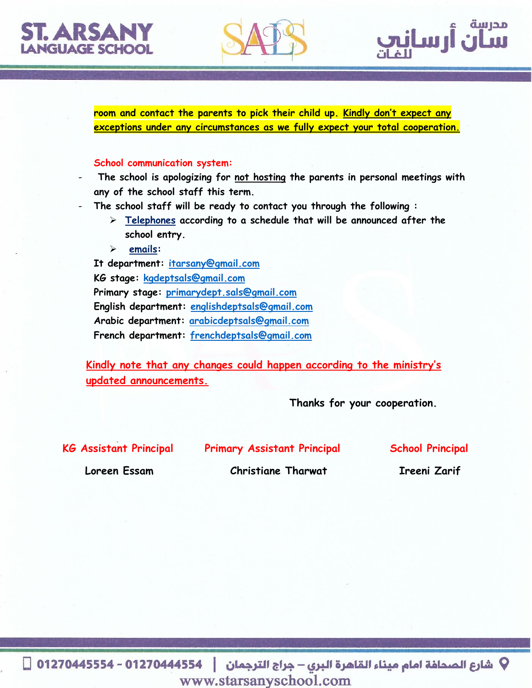# STARSA LANGUAGE SCHOO





**room and contact the parents to pick their child up. Kindly don't expect any exceptions under any circumstances as we fully expect your total cooperation.** 

## **School communication system:**

- **The school is apologizing for not hosting the parents in personal meetings with any of the school staff this term.**

- **The school staff will be ready to contact you through the following :**
	- **Telephones according to a schedule that will be announced after the school entry.**
	- **emails:**

**It department: [itarsany@gmail.com](mailto:itarsany@gmail.com) KG stage: [kgdeptsals@gmail.com](mailto:kgdeptsals@gmail.com) Primary stage: [primarydept.sals@gmail.com](mailto:primarydept.sals@gmail.com) English department: [englishdeptsals@gmail.com](mailto:englishdeptsals@gmail.com) Arabic department: [arabicdeptsals@gmail.com](mailto:arabicdeptsals@gmail.com) French department: [frenchdeptsals@gmail.com](mailto:frenchdeptsals@gmail.com)**

**Kindly note that any changes could happen according to the ministry's updated announcements.**

 **Thanks for your cooperation.**

**KG Assistant Principal Primary Assistant Principal School Principal**

 **Loreen Essam Christiane Tharwat Ireeni Zarif**